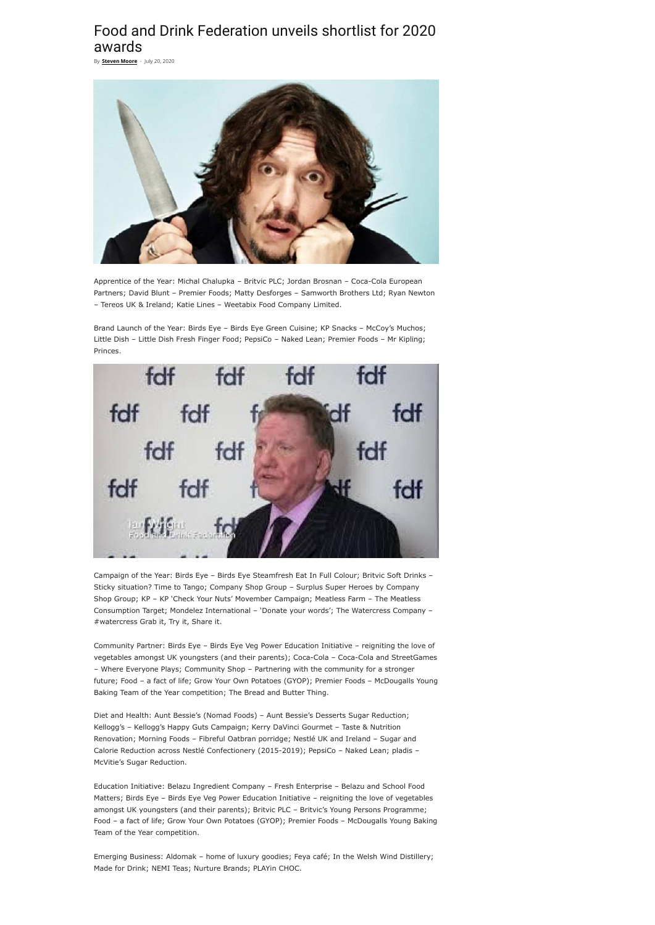## Food and Drink Federation unveils shortlist for 2020 awards

Apprentice of the Year: Michal Chalupka – Britvic PLC; Jordan Brosnan – Coca-Cola European Partners; David Blunt – Premier Foods; Matty Desforges – Samworth Brothers Ltd; Ryan Newton – Tereos UK & Ireland; Katie Lines – Weetabix Food Company Limited.

Brand Launch of the Year: Birds Eye – Birds Eye Green Cuisine; KP Snacks – McCoy's Muchos; Little Dish – Little Dish Fresh Finger Food; PepsiCo – Naked Lean; Premier Foods – Mr Kipling; Princes.



Campaign of the Year: Birds Eye – Birds Eye Steamfresh Eat In Full Colour; Britvic Soft Drinks – Sticky situation? Time to Tango; Company Shop Group – Surplus Super Heroes by Company Shop Group; KP – KP 'Check Your Nuts' Movember Campaign; Meatless Farm – The Meatless Consumption Target; Mondelez International – 'Donate your words'; The Watercress Company – #watercress Grab it, Try it, Share it.

Community Partner: Birds Eye – Birds Eye Veg Power Education Initiative – reigniting the love of vegetables amongst UK youngsters (and their parents); Coca-Cola – Coca-Cola and StreetGames – Where Everyone Plays; Community Shop – Partnering with the community for a stronger future; Food – a fact of life; Grow Your Own Potatoes (GYOP); Premier Foods – McDougalls Young Baking Team of the Year competition; The Bread and Butter Thing.

Diet and Health: Aunt Bessie's (Nomad Foods) – Aunt Bessie's Desserts Sugar Reduction; Kellogg's – Kellogg's Happy Guts Campaign; Kerry DaVinci Gourmet – Taste & Nutrition Renovation; Morning Foods – Fibreful Oatbran porridge; Nestlé UK and Ireland – Sugar and Calorie Reduction across Nestlé Confectionery (2015-2019); PepsiCo – Naked Lean; pladis – McVitie's Sugar Reduction.

Education Initiative: Belazu Ingredient Company – Fresh Enterprise – Belazu and School Food Matters; Birds Eye – Birds Eye Veg Power Education Initiative – reigniting the love of vegetables amongst UK youngsters (and their parents); Britvic PLC – Britvic's Young Persons Programme; Food – a fact of life; Grow Your Own Potatoes (GYOP); Premier Foods – McDougalls Young Baking Team of the Year competition.

Emerging Business: Aldomak – home of luxury goodies; Feya café; In the Welsh Wind Distillery; Made for Drink; NEMI Teas; Nurture Brands; PLAYin CHOC.

By **[Steven](https://farmweek.com/author/steven-moore/) Moore** - July 20, 2020